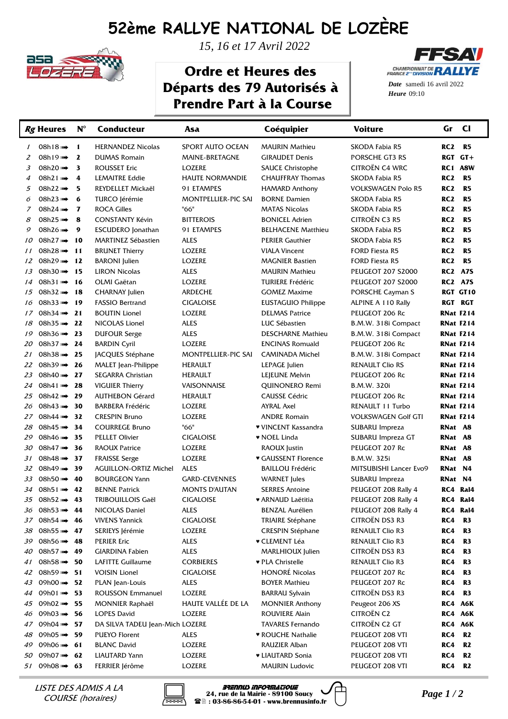## **52ème RALLYE NATIONAL DE LOZÈRE**



*15, 16 et 17 Avril 2022*

## **Ordre et Heures des Départs des 79 Autorisés à Prendre Part à la Course**



**Heure** 09:10 *Date* samedi 16 avril 2022

|               | Rg Heures               | $N^{\circ}$             | Conducteur                      | Asa                        | Coéquipier                | <b>Voiture</b>             | Gr               | <b>CI</b>      |
|---------------|-------------------------|-------------------------|---------------------------------|----------------------------|---------------------------|----------------------------|------------------|----------------|
| $\mathcal{I}$ | 08h18 $m$ $\rightarrow$ | 1                       | <b>HERNANDEZ Nicolas</b>        | SPORT AUTO OCEAN           | <b>MAURIN Mathieu</b>     | SKODA Fabia R5             | RC <sub>2</sub>  | <b>R5</b>      |
| 2             | 08h19 >>→               | $\mathbf{z}$            | <b>DUMAS Romain</b>             | MAINE-BRETAGNE             | <b>GIRAUDET Denis</b>     | PORSCHE GT3 RS             | RGT GT+          |                |
| 3             | 08h20 >>>>>>>>          | 3                       | <b>ROUSSET Eric</b>             | LOZERE                     | <b>SAUCE Christophe</b>   | CITROËN C4 WRC             | RC1 A8W          |                |
| 4             | 08h21 $\rightarrow$     | 4                       | <b>LEMAITRE Eddie</b>           | <b>HAUTE NORMANDIE</b>     | <b>CHAUFFRAY Thomas</b>   | SKODA Fabia R5             | RC <sub>2</sub>  | <b>R5</b>      |
| 5             | 08h22 $\rightarrow$     | 5                       | REYDELLET Mickaël               | 91 ETAMPES                 | <b>HAMARD Anthony</b>     | <b>VOLKSWAGEN Polo R5</b>  | RC <sub>2</sub>  | R5             |
| 6             | 08h23 $\rightarrow$     | 6                       | TURCO Jérémie                   | <b>MONTPELLIER-PIC SAI</b> | <b>BORNE Damien</b>       | SKODA Fabia R5             | RC <sub>2</sub>  | R <sub>5</sub> |
| $\mathcal{I}$ | 08h24                   | $\overline{\mathbf{z}}$ | <b>ROCA Gilles</b>              | "66"                       | <b>MATAS Nicolas</b>      | SKODA Fabia R5             | RC <sub>2</sub>  | R <sub>5</sub> |
| 8             | 08h25 >>>>>             | 8                       | <b>CONSTANTY Kévin</b>          | <b>BITTEROIS</b>           | <b>BONICEL Adrien</b>     | CITROËN C3 R5              | RC <sub>2</sub>  | R5             |
| 9             | 08h26 $\rightarrow$     | 9                       | ESCUDERO Jonathan               | <b>91 ETAMPES</b>          | <b>BELHACENE Matthieu</b> | SKODA Fabia R5             | RC <sub>2</sub>  | R5             |
| 10            | 08h27                   | - 10                    | <b>MARTINEZ Sébastien</b>       | <b>ALES</b>                | <b>PERIER Gauthier</b>    | SKODA Fabia R5             | RC <sub>2</sub>  | R5             |
| 11            | 08h28                   | - 11                    | <b>BRUNET Thierry</b>           | LOZERE                     | <b>VIALA Vincent</b>      | <b>FORD Fiesta R5</b>      | RC <sub>2</sub>  | R <sub>5</sub> |
| 12            | 08h29 >>→               | 12                      | <b>BARONI</b> Julien            | LOZERE                     | <b>MAGNIER Bastien</b>    | <b>FORD Fiesta R5</b>      | RC <sub>2</sub>  | <b>R5</b>      |
| 13            | 08h30 $\rightarrow$     | - 15                    | <b>LIRON Nicolas</b>            | <b>ALES</b>                | <b>MAURIN Mathieu</b>     | <b>PEUGEOT 207 S2000</b>   | <b>RC2 A7S</b>   |                |
| 14            | 08h31                   | - 16                    | OLMI Gaëtan                     | <b>LOZERE</b>              | <b>TURIERE Frédéric</b>   | <b>PEUGEOT 207 S2000</b>   | <b>RC2 A7S</b>   |                |
| 15            | 08h32 $\rightarrow$     | - 18                    | CHARNAY Julien                  | <b>ARDECHE</b>             | <b>GOMEZ Maxime</b>       | PORSCHE Cayman S           |                  | RGT GT10       |
| 16            | 08h33 $m$ $\rightarrow$ | -19                     | <b>FASSIO Bertrand</b>          | <b>CIGALOISE</b>           | <b>EUSTAGUIO Philippe</b> | ALPINE A 110 Rally         | RGT RGT          |                |
| 17            | 08h34 $\rightarrow$     | 21                      | <b>BOUTIN Lionel</b>            | LOZERE                     | <b>DELMAS Patrice</b>     | PEUGEOT 206 Rc             | <b>RNat F214</b> |                |
| 18            | 08h35                   | 22                      | NICOLAS Lionel                  | <b>ALES</b>                | LUC Sébastien             | B.M.W. 318i Compact        | <b>RNat F214</b> |                |
| 19            | 08h36 $m$ $\rightarrow$ | 23                      | <b>DUFOUR Serge</b>             | <b>ALES</b>                | <b>DESCHARNE Mathieu</b>  | B.M.W. 318i Compact        | <b>RNat F214</b> |                |
| 20            | 08h37 $\rightarrow$     | 24                      | <b>BARDIN Cyril</b>             | <b>LOZERE</b>              | <b>ENCINAS Romuald</b>    | PEUGEOT 206 Rc             | <b>RNat F214</b> |                |
| 21            | 08h38                   | - 25                    | JACQUES Stéphane                | MONTPELLIER-PIC SAI        | <b>CAMINADA Michel</b>    | B.M.W. 318i Compact        | <b>RNat F214</b> |                |
| 22            | 08h39 m→ 26             |                         | MALET Jean-Philippe             | <b>HERAULT</b>             | LEPAGE Julien             | <b>RENAULT Clio RS</b>     | <b>RNat F214</b> |                |
| 23            | 08h40 >>>>>             | - 27                    | SEGARRA Christian               | <b>HERAULT</b>             | LEJEUNE Melvin            | PEUGEOT 206 Rc             | <b>RNat F214</b> |                |
| 24            | $08h41$ >>>→            | 28                      | <b>VIGUIER Thierry</b>          | VAISONNAISE                | QUINONERO Remi            | <b>B.M.W. 320i</b>         | <b>RNat F214</b> |                |
| 25            | 08h42 m→ 29             |                         | <b>AUTHEBON Gérard</b>          | <b>HERAULT</b>             | <b>CAUSSE Cédric</b>      | PEUGEOT 206 Rc             | <b>RNat F214</b> |                |
| 26            | 08h43 $\Rightarrow$ 30  |                         | <b>BARBERA Frédéric</b>         | LOZERE                     | <b>AYRAL Axel</b>         | RENAULT 11 Turbo           | <b>RNat F214</b> |                |
| 27            | 08h44 $\Rightarrow$ 32  |                         | <b>CRESPIN Bruno</b>            | LOZERE                     | <b>ANDRE Romain</b>       | <b>VOLKSWAGEN Golf GTI</b> | RNat F214        |                |
| 28            | 08h45 $\Rightarrow$ 34  |                         | <b>COURREGE Bruno</b>           | "66"                       | ♥ VINCENT Kassandra       | SUBARU Impreza             | RNat A8          |                |
| 29            | 08h46 >>> 35            |                         | <b>PELLET Olivier</b>           | <b>CIGALOISE</b>           | • NOEL Linda              | SUBARU Impreza GT          | RNat A8          |                |
| 30            | 08h47 m→ 36             |                         | <b>RAOUX Patrice</b>            | LOZERE                     | RAOUX Justin              | PEUGEOT 207 Rc             | RNat             | <b>A8</b>      |
| 31            | 08h48                   | - 37                    | <b>FRAISSE Serge</b>            | LOZERE                     | ♥ GAUSSENT Florence       | <b>B.M.W. 325i</b>         | RNat             | <b>A8</b>      |
| 32            | 08h49 m→                | - 39                    | <b>AGUILLON-ORTIZ Michel</b>    | <b>ALES</b>                | <b>BAILLOU Frédéric</b>   | MITSUBISHI Lancer Evo9     | RNat             | N4             |
| 33            | 08h50 $\rightarrow$     | -40                     | <b>BOURGEON Yann</b>            | <b>GARD-CEVENNES</b>       | <b>WARNET</b> Jules       | SUBARU Impreza             | RNat N4          |                |
| 34            | 08h51                   | 42                      | <b>BENNE Patrick</b>            | <b>MONTS D'AUTAN</b>       | <b>SERRES Antoine</b>     | PEUGEOT 208 Rally 4        | RC4              | Ral4           |
|               | 35 08h52 m→ 43          |                         | <b>TRIBOUILLOIS Gaël</b>        | <b>CIGALOISE</b>           | ♥ ARNAUD Laëtitia         | PEUGEOT 208 Rally 4        | RC4 Ral4         |                |
| 36            | 08h53 m→ 44             |                         | NICOLAS Daniel                  | <b>ALES</b>                | <b>BENZAL Aurélien</b>    | PEUGEOT 208 Rally 4        | RC4 Ral4         |                |
| 37            | 08h54 m→ 46             |                         | <b>VIVENS Yannick</b>           | <b>CIGALOISE</b>           | <b>TRIAIRE Stéphane</b>   | CITROËN DS3 R3             | RC4              | R <sub>3</sub> |
| 38            | 08h55 a→ 47             |                         | SERIEYS Jérémie                 | <b>LOZERE</b>              | <b>CRESPIN Stéphane</b>   | RENAULT Clio R3            | RC4              | R <sub>3</sub> |
| 39            | 08h56 m→ 48             |                         | <b>PERIER Eric</b>              | <b>ALES</b>                | <b>v CLEMENT Léa</b>      | RENAULT Clio R3            | RC4              | R <sub>3</sub> |
| 40            | 08h57                   | -49                     | GIARDINA Fabien                 | <b>ALES</b>                | <b>MARLHIOUX Julien</b>   | CITROËN DS3 R3             | RC4              | R3             |
| 41            | 08h58 m→ 50             |                         | LAFITTE Guillaume               | <b>CORBIERES</b>           | ♥ PLA Christelle          | RENAULT Clio R3            | RC4              | R <sub>3</sub> |
| 42            | 08h59 $\Rightarrow$ 51  |                         | <b>VOISIN Lionel</b>            | <b>CIGALOISE</b>           | <b>HONORÉ Nicolas</b>     | PEUGEOT 207 Rc             | RC4              | R3             |
| 43            | 09h00 m→ 52             |                         | PLAN Jean-Louis                 | <b>ALES</b>                | <b>BOYER Mathieu</b>      | PEUGEOT 207 Rc             | RC4              | R3             |
| 44            | 09h01 $\Rightarrow$ 53  |                         | ROUSSON Emmanuel                | LOZERE                     | <b>BARRAU Sylvain</b>     | CITROËN DS3 R3             | RC4              | R3             |
| 45            | 09h02 m→ 55             |                         | <b>MONNIER Raphaël</b>          | HAUTE VALLÉE DE LA         | <b>MONNIER Anthony</b>    | Peugeot 206 XS             | RC4 A6K          |                |
| 46            | 09h03 m→ 56             |                         | <b>LOPES David</b>              | LOZERE                     | <b>ROUVIERE Alain</b>     | CITROËN C2                 | RC4 A6K          |                |
| 47            | 09h04 m→ 57             |                         | DA SILVA TADEU Jean-Mich LOZERE |                            | <b>TAVARES Fernando</b>   | CITROËN C2 GT              | RC4 A6K          |                |
| 48            | 09h05 m→ 59             |                         | PUEYO Florent                   | ALES                       | ♥ ROUCHE Nathalie         | PEUGEOT 208 VTI            | RC4              | R <sub>2</sub> |
| 49            | 09h06 m→ 61             |                         | <b>BLANC David</b>              | LOZERE                     | RAUZIER Alban             | PEUGEOT 208 VTI            | RC4              | R <sub>2</sub> |
| 50            | 09h07 m→ 62             |                         | LIAUTARD Yann                   | LOZERE                     | <b>v LIAUTARD Sonia</b>   | PEUGEOT 208 VTI            | RC4              | R <sub>2</sub> |
| 51            | 09h08 m→ 63             |                         | FERRIER Jérôme                  | LOZERE                     | <b>MAURIN Ludovic</b>     | PEUGEOT 208 VTI            | RC4              | <b>R2</b>      |

COURSE (horaires)



*Page 1 / 2* LISTE DES ADMIS A LA Brennus Informatique **24, rue de la Mairie - 89100 Soucy : 03-86-86-54-01 - www.brennusinfo.fr**